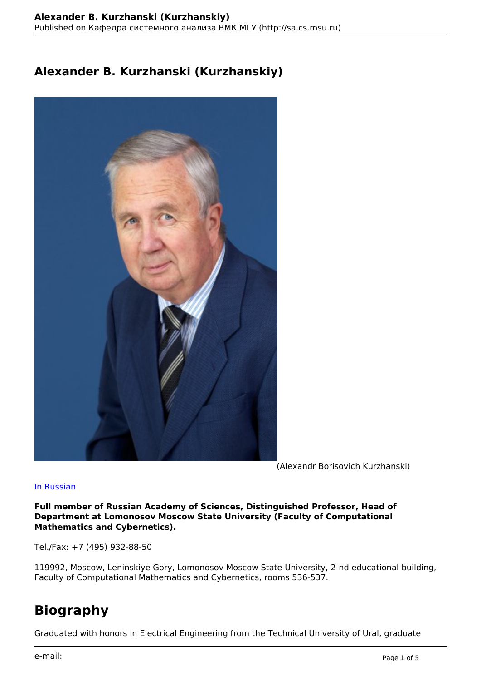### **Alexander B. Kurzhanski (Kurzhanskiy)**



(Alexandr Borisovich Kurzhanski)

#### In Russian

**Full member of Russian Academy of Sciences, Distinguished Professor, Head of Department at Lomonosov Moscow State University (Faculty of Computational Mathematics and Cybernetics).**

Tel./Fax: +7 (495) 932-88-50

119992, Moscow, Leninskiye Gory, Lomonosov Moscow State University, 2-nd educational building, Faculty of Computational Mathematics and Cybernetics, rooms 536-537.

# **Biography**

Graduated with honors in Electrical Engineering from the Technical University of Ural, graduate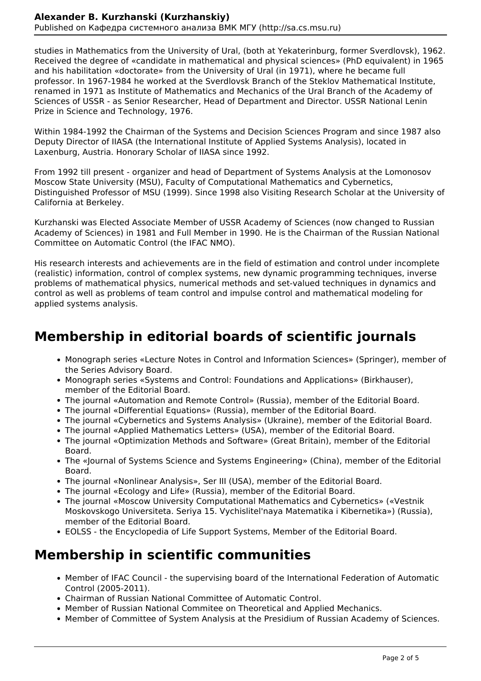studies in Mathematics from the University of Ural, (both at Yekaterinburg, former Sverdlovsk), 1962. Received the degree of «candidate in mathematical and physical sciences» (PhD equivalent) in 1965 and his habilitation «doctorate» from the University of Ural (in 1971), where he became full professor. In 1967-1984 he worked at the Sverdlovsk Branch of the Steklov Mathematical Institute, renamed in 1971 as Institute of Mathematics and Mechanics of the Ural Branch of the Academy of Sciences of USSR - as Senior Researcher, Head of Department and Director. USSR National Lenin Prize in Science and Technology, 1976.

Within 1984-1992 the Chairman of the Systems and Decision Sciences Program and since 1987 also Deputy Director of IIASA (the International Institute of Applied Systems Analysis), located in Laxenburg, Austria. Honorary Scholar of IIASA since 1992.

From 1992 till present - organizer and head of Department of Systems Analysis at the Lomonosov Moscow State University (MSU), Faculty of Computational Mathematics and Cybernetics, Distinguished Professor of MSU (1999). Since 1998 also Visiting Research Scholar at the University of California at Berkeley.

Kurzhanski was Elected Associate Member of USSR Academy of Sciences (now changed to Russian Academy of Sciences) in 1981 and Full Member in 1990. He is the Chairman of the Russian National Committee on Automatic Control (the IFAC NMO).

His research interests and achievements are in the field of estimation and control under incomplete (realistic) information, control of complex systems, new dynamic programming techniques, inverse problems of mathematical physics, numerical methods and set-valued techniques in dynamics and control as well as problems of team control and impulse control and mathematical modeling for applied systems analysis.

# **Membership in editorial boards of scientific journals**

- Monograph series «Lecture Notes in Control and Information Sciences» (Springer), member of the Series Advisory Board.
- Monograph series «Systems and Control: Foundations and Applications» (Birkhauser), member of the Editorial Board.
- The journal «Automation and Remote Control» (Russia), member of the Editorial Board.
- The journal «Differential Equations» (Russia), member of the Editorial Board.
- The journal «Cybernetics and Systems Analysis» (Ukraine), member of the Editorial Board.
- The journal «Applied Mathematics Letters» (USA), member of the Editorial Board.
- The journal «Optimization Methods and Software» (Great Britain), member of the Editorial Board.
- The «Journal of Systems Science and Systems Engineering» (China), member of the Editorial Board.
- The journal «Nonlinear Analysis», Ser III (USA), member of the Editorial Board.
- The journal «Ecology and Life» (Russia), member of the Editorial Board.
- The journal «Moscow University Computational Mathematics and Cybernetics» («Vestnik Moskovskogo Universiteta. Seriya 15. Vychislitel'naya Matematika i Kibernetika») (Russia), member of the Editorial Board.
- EOLSS the Encyclopedia of Life Support Systems, Member of the Editorial Board.

### **Membership in scientific communities**

- Member of IFAC Council the supervising board of the International Federation of Automatic Control (2005-2011).
- Chairman of Russian National Committee of Automatic Control.
- Member of Russian National Commitee on Theoretical and Applied Mechanics.
- Member of Committee of System Analysis at the Presidium of Russian Academy of Sciences.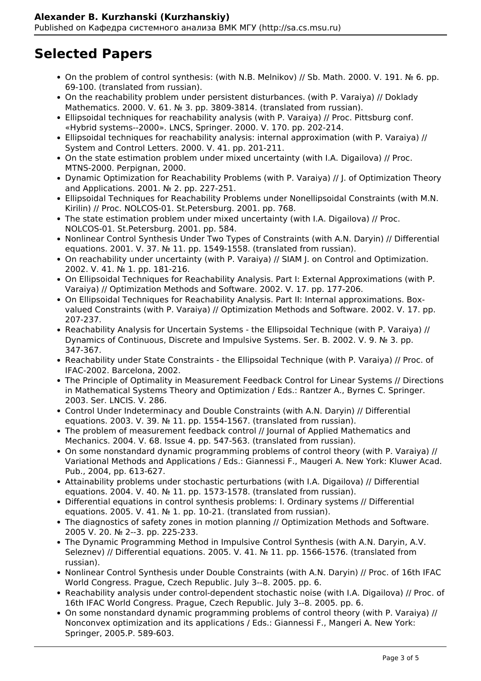# **Selected Papers**

- On the problem of control synthesis: (with N.B. Melnikov) // Sb. Math. 2000. V. 191. № 6. pp. 69-100. (translated from russian).
- On the reachability problem under persistent disturbances. (with P. Varaiya) // Doklady Mathematics. 2000. V. 61. № 3. pp. 3809-3814. (translated from russian).
- Ellipsoidal techniques for reachability analysis (with P. Varaiya) // Proc. Pittsburg conf. «Hybrid systems--2000». LNCS, Springer. 2000. V. 170. pp. 202-214.
- Ellipsoidal techniques for reachability analysis: internal approximation (with P. Varaiya) // System and Control Letters. 2000. V. 41. pp. 201-211.
- On the state estimation problem under mixed uncertainty (with I.A. Digailova) // Proc. MTNS-2000. Perpignan, 2000.
- Dynamic Optimization for Reachability Problems (with P. Varaiya) // J. of Optimization Theory and Applications. 2001. № 2. pp. 227-251.
- Ellipsoidal Techniques for Reachability Problems under Nonellipsoidal Constraints (with M.N. Kirilin) // Proc. NOLCOS-01. St.Petersburg. 2001. pp. 768.
- The state estimation problem under mixed uncertainty (with I.A. Digailova) // Proc. NOLCOS-01. St.Petersburg. 2001. pp. 584.
- Nonlinear Control Synthesis Under Two Types of Constraints (with A.N. Daryin) // Differential equations. 2001. V. 37. № 11. pp. 1549-1558. (translated from russian).
- On reachability under uncertainty (with P. Varaiya) // SIAM J. on Control and Optimization. 2002. V. 41. № 1. pp. 181-216.
- On Ellipsoidal Techniques for Reachability Analysis. Part I: External Approximations (with P. Varaiya) // Optimization Methods and Software. 2002. V. 17. pp. 177-206.
- On Ellipsoidal Techniques for Reachability Analysis. Part II: Internal approximations. Boxvalued Constraints (with P. Varaiya) // Optimization Methods and Software. 2002. V. 17. pp. 207-237.
- Reachability Analysis for Uncertain Systems the Ellipsoidal Technique (with P. Varaiya) // Dynamics of Continuous, Discrete and Impulsive Systems. Ser. B. 2002. V. 9. № 3. pp. 347-367.
- Reachability under State Constraints the Ellipsoidal Technique (with P. Varaiya) // Proc. of IFAC-2002. Barcelona, 2002.
- The Principle of Optimality in Measurement Feedback Control for Linear Systems // Directions in Mathematical Systems Theory and Optimization / Eds.: Rantzer A., Byrnes C. Springer. 2003. Ser. LNCIS. V. 286.
- Control Under Indeterminacy and Double Constraints (with A.N. Daryin) // Differential equations. 2003. V. 39. № 11. pp. 1554-1567. (translated from russian).
- The problem of measurement feedback control // Journal of Applied Mathematics and Mechanics. 2004. V. 68. Issue 4. pp. 547-563. (translated from russian).
- On some nonstandard dynamic programming problems of control theory (with P. Varaiya) // Variational Methods and Applications / Eds.: Giannessi F., Maugeri A. New York: Kluwer Acad. Pub., 2004, pp. 613-627.
- Attainability problems under stochastic perturbations (with I.A. Digailova) // Differential equations. 2004. V. 40. № 11. pp. 1573-1578. (translated from russian).
- Differential equations in control synthesis problems: I. Ordinary systems // Differential equations. 2005. V. 41. № 1. pp. 10-21. (translated from russian).
- The diagnostics of safety zones in motion planning // Optimization Methods and Software. 2005 V. 20. № 2--3. pp. 225-233.
- The Dynamic Programming Method in Impulsive Control Synthesis (with A.N. Daryin, A.V. Seleznev) // Differential equations. 2005. V. 41. № 11. pp. 1566-1576. (translated from russian).
- Nonlinear Control Synthesis under Double Constraints (with A.N. Daryin) // Proc. of 16th IFAC World Congress. Prague, Czech Republic. July 3--8. 2005. pp. 6.
- Reachability analysis under control-dependent stochastic noise (with I.A. Digailova) // Proc. of 16th IFAC World Congress. Prague, Czech Republic. July 3--8. 2005. pp. 6.
- On some nonstandard dynamic programming problems of control theory (with P. Varaiya) // Nonconvex optimization and its applications / Eds.: Giannessi F., Mangeri A. New York: Springer, 2005.P. 589-603.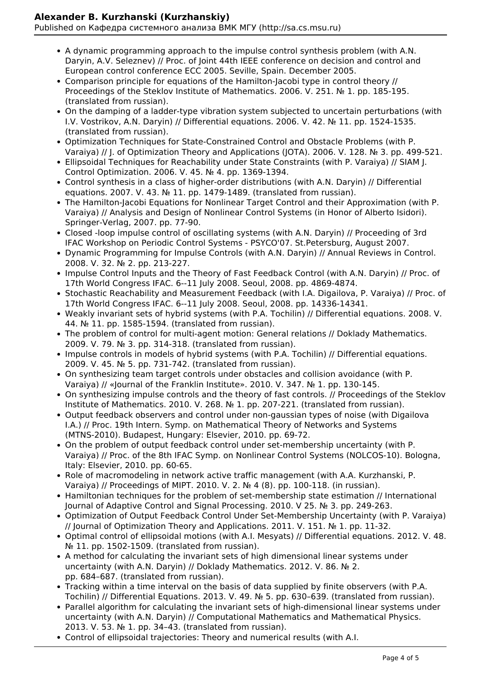#### **Alexander B. Kurzhanski (Kurzhanskiy)**

Published on Кафедра системного анализа ВМК МГУ (http://sa.cs.msu.ru)

- A dynamic programming approach to the impulse control synthesis problem (with A.N. Daryin, A.V. Seleznev) // Proc. of Joint 44th IEEE conference on decision and control and European control conference ECC 2005. Seville, Spain. December 2005.
- Comparison principle for equations of the Hamilton-Jacobi type in control theory // Proceedings of the Steklov Institute of Mathematics. 2006. V. 251. № 1. pp. 185-195. (translated from russian).
- On the damping of a ladder-type vibration system subjected to uncertain perturbations (with I.V. Vostrikov, A.N. Daryin) // Differential equations. 2006. V. 42. № 11. pp. 1524-1535. (translated from russian).
- Optimization Techniques for State-Constrained Control and Obstacle Problems (with P. Varaiya) // J. of Optimization Theory and Applications (JOTA). 2006. V. 128. № 3. pp. 499-521.
- Ellipsoidal Techniques for Reachability under State Constraints (with P. Varaiya) // SIAM J. Control Optimization. 2006. V. 45. № 4. pp. 1369-1394.
- Control synthesis in a class of higher-order distributions (with A.N. Daryin) // Differential equations. 2007. V. 43. № 11. pp. 1479-1489. (translated from russian).
- The Hamilton-Jacobi Equations for Nonlinear Target Control and their Approximation (with P. Varaiya) // Analysis and Design of Nonlinear Control Systems (in Honor of Alberto Isidori). Springer-Verlag, 2007. pp. 77-90.
- Closed -loop impulse control of oscillating systems (with A.N. Daryin) // Proceeding of 3rd IFAC Workshop on Periodic Control Systems - PSYCO'07. St.Petersburg, August 2007.
- Dynamic Programming for Impulse Controls (with A.N. Daryin) // Annual Reviews in Control. 2008. V. 32. № 2. pp. 213-227.
- Impulse Control Inputs and the Theory of Fast Feedback Control (with A.N. Daryin) // Proc. of 17th World Congress IFAC. 6--11 July 2008. Seoul, 2008. pp. 4869-4874.
- Stochastic Reachability and Measurement Feedback (with I.A. Digailova, P. Varaiya) // Proc. of 17th World Congress IFAC. 6--11 July 2008. Seoul, 2008. pp. 14336-14341.
- Weakly invariant sets of hybrid systems (with P.A. Tochilin) // Differential equations. 2008. V. 44. № 11. pp. 1585-1594. (translated from russian).
- The problem of control for multi-agent motion: General relations // Doklady Mathematics. 2009. V. 79. № 3. pp. 314-318. (translated from russian).
- Impulse controls in models of hybrid systems (with P.A. Tochilin) // Differential equations. 2009. V. 45. № 5. pp. 731-742. (translated from russian).
- On synthesizing team target controls under obstacles and collision avoidance (with P. Varaiya) // «Journal of the Franklin Institute». 2010. V. 347. № 1. pp. 130-145.
- On synthesizing impulse controls and the theory of fast controls. // Proceedings of the Steklov Institute of Mathematics. 2010. V. 268. № 1. pp. 207-221. (translated from russian).
- Output feedback observers and control under non-gaussian types of noise (with Digailova I.A.) // Proc. 19th Intern. Symp. on Mathematical Theory of Networks and Systems (MTNS-2010). Budapest, Hungary: Elsevier, 2010. pp. 69-72.
- On the problem of output feedback control under set-membership uncertainty (with P. Varaiya) // Proc. of the 8th IFAC Symp. on Nonlinear Control Systems (NOLCOS-10). Bologna, Italy: Elsevier, 2010. pp. 60-65.
- Role of macromodeling in network active traffic management (with A.A. Kurzhanski, P. Varaiya) // Proceedings of MIPT. 2010. V. 2. № 4 (8). pp. 100-118. (in russian).
- Hamiltonian techniques for the problem of set-membership state estimation // International Journal of Adaptive Control and Signal Processing. 2010. V 25. № 3. pp. 249-263.
- Optimization of Output Feedback Control Under Set-Membership Uncertainty (with P. Varaiya) // Journal of Optimization Theory and Applications. 2011. V. 151. № 1. pp. 11-32.
- Optimal control of ellipsoidal motions (with A.I. Mesyats) // Differential equations. 2012. V. 48. № 11. pp. 1502-1509. (translated from russian).
- A method for calculating the invariant sets of high dimensional linear systems under uncertainty (with A.N. Daryin) // Doklady Mathematics. 2012. V. 86. № 2. pp. 684–687. (translated from russian).
- Tracking within a time interval on the basis of data supplied by finite observers (with P.A. Tochilin) // Differential Equations. 2013. V. 49. № 5. pp. 630–639. (translated from russian).
- Parallel algorithm for calculating the invariant sets of high-dimensional linear systems under uncertainty (with A.N. Daryin) // Computational Mathematics and Mathematical Physics. 2013. V. 53. № 1. pp. 34–43. (translated from russian).
- Control of ellipsoidal trajectories: Theory and numerical results (with A.I.